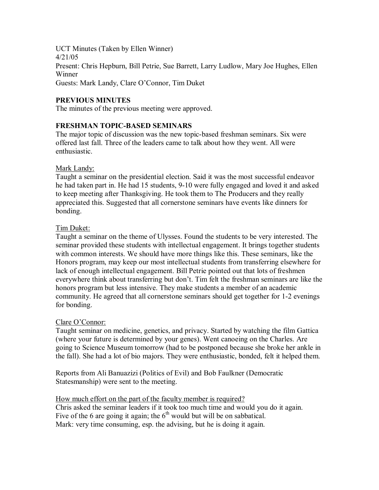UCT Minutes (Taken by Ellen Winner) 4/21/05 Present: Chris Hepburn, Bill Petrie, Sue Barrett, Larry Ludlow, Mary Joe Hughes, Ellen Winner Guests: Mark Landy, Clare O'Connor, Tim Duket

# **PREVIOUS MINUTES**

The minutes of the previous meeting were approved.

#### **FRESHMAN TOPIC-BASED SEMINARS**

The major topic of discussion was the new topic-based freshman seminars. Six were offered last fall. Three of the leaders came to talk about how they went. All were enthusiastic.

#### Mark Landy:

Taught a seminar on the presidential election. Said it was the most successful endeavor he had taken part in. He had 15 students, 910 were fully engaged and loved it and asked to keep meeting after Thanksgiving. He took them to The Producers and they really appreciated this. Suggested that all cornerstone seminars have events like dinners for bonding.

#### Tim Duket:

Taught a seminar on the theme of Ulysses. Found the students to be very interested. The seminar provided these students with intellectual engagement. It brings together students with common interests. We should have more things like this. These seminars, like the Honors program, may keep our most intellectual students from transferring elsewhere for lack of enough intellectual engagement. Bill Petrie pointed out that lots of freshmen everywhere think about transferring but don't. Tim felt the freshman seminars are like the honors program but less intensive. They make students a member of an academic community. He agreed that all cornerstone seminars should get together for 1-2 evenings for bonding.

#### Clare O'Connor:

Taught seminar on medicine, genetics, and privacy. Started by watching the film Gattica (where your future is determined by your genes). Went canoeing on the Charles. Are going to Science Museum tomorrow (had to be postponed because she broke her ankle in the fall). She had a lot of bio majors. They were enthusiastic, bonded, felt it helped them.

Reports from Ali Banuazizi (Politics of Evil) and Bob Faulkner (Democratic Statesmanship) were sent to the meeting.

# How much effort on the part of the faculty member is required?

Chris asked the seminar leaders if it took too much time and would you do it again. Five of the 6 are going it again; the  $6<sup>th</sup>$  would but will be on sabbatical. Mark: very time consuming, esp. the advising, but he is doing it again.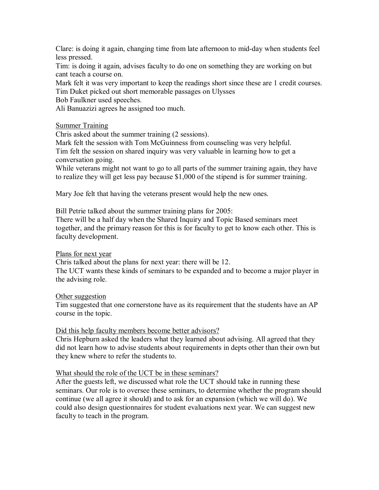Clare: is doing it again, changing time from late afternoon to mid-day when students feel less pressed.

Tim: is doing it again, advises faculty to do one on something they are working on but cant teach a course on.

Mark felt it was very important to keep the readings short since these are 1 credit courses. Tim Duket picked out short memorable passages on Ulysses

Bob Faulkner used speeches.

Ali Banuazizi agrees he assigned too much.

## Summer Training

Chris asked about the summer training (2 sessions).

Mark felt the session with Tom McGuinness from counseling was very helpful. Tim felt the session on shared inquiry was very valuable in learning how to get a conversation going.

While veterans might not want to go to all parts of the summer training again, they have to realize they will get less pay because \$1,000 of the stipend is for summer training.

Mary Joe felt that having the veterans present would help the new ones.

Bill Petrie talked about the summer training plans for 2005:

There will be a half day when the Shared Inquiry and Topic Based seminars meet together, and the primary reason for this is for faculty to get to know each other. This is faculty development.

#### Plans for next year

Chris talked about the plans for next year: there will be 12.

The UCT wants these kinds of seminars to be expanded and to become a major player in the advising role.

#### Other suggestion

Tim suggested that one cornerstone have as its requirement that the students have an AP course in the topic.

#### Did this help faculty members become better advisors?

Chris Hepburn asked the leaders what they learned about advising. All agreed that they did not learn how to advise students about requirements in depts other than their own but they knew where to refer the students to.

#### What should the role of the UCT be in these seminars?

After the guests left, we discussed what role the UCT should take in running these seminars. Our role is to oversee these seminars, to determine whether the program should continue (we all agree it should) and to ask for an expansion (which we will do). We could also design questionnaires for student evaluations next year. We can suggest new faculty to teach in the program.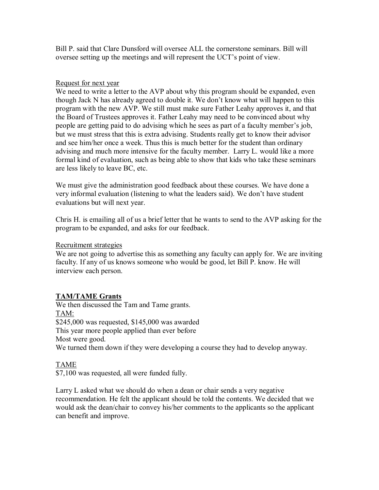Bill P. said that Clare Dunsford will oversee ALL the cornerstone seminars. Bill will oversee setting up the meetings and will represent the UCT's point of view.

## Request for next year

We need to write a letter to the AVP about why this program should be expanded, even though Jack N has already agreed to double it. We don't know what will happen to this program with the new AVP. We still must make sure Father Leahy approves it, and that the Board of Trustees approves it. Father Leahy may need to be convinced about why people are getting paid to do advising which he sees as part of a faculty member's job, but we must stress that this is extra advising. Students really get to know their advisor and see him/her once a week. Thus this is much better for the student than ordinary advising and much more intensive for the faculty member. Larry L. would like a more formal kind of evaluation, such as being able to show that kids who take these seminars are less likely to leave BC, etc.

We must give the administration good feedback about these courses. We have done a very informal evaluation (listening to what the leaders said). We don't have student evaluations but will next year.

Chris H. is emailing all of us a brief letter that he wants to send to the AVP asking for the program to be expanded, and asks for our feedback.

## Recruitment strategies

We are not going to advertise this as something any faculty can apply for. We are inviting faculty. If any of us knows someone who would be good, let Bill P. know. He will interview each person.

# **TAM/TAME Grants**

We then discussed the Tam and Tame grants. TAM: \$245,000 was requested, \$145,000 was awarded This year more people applied than ever before Most were good. We turned them down if they were developing a course they had to develop anyway.

# TAME

\$7,100 was requested, all were funded fully.

Larry L asked what we should do when a dean or chair sends a very negative recommendation. He felt the applicant should be told the contents. We decided that we would ask the dean/chair to convey his/her comments to the applicants so the applicant can benefit and improve.